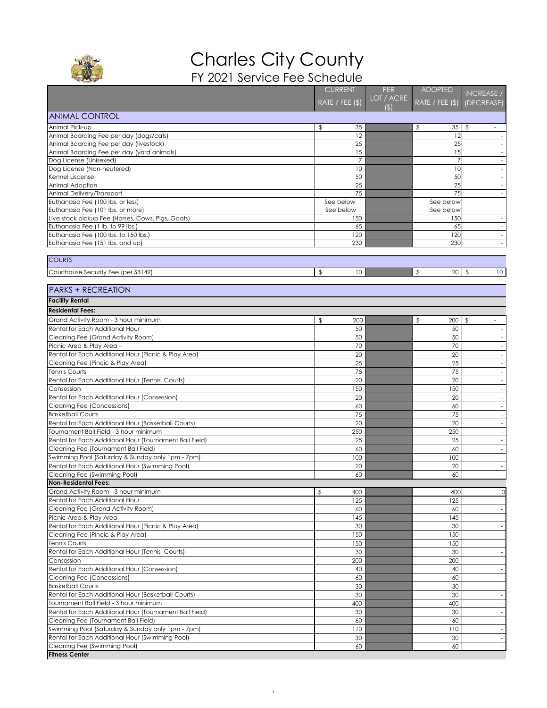|                                                                                   | <b>CURRENT</b>                          | <b>PER</b> | <b>ADOPTED</b>      | <b>INCREASE /</b>                          |
|-----------------------------------------------------------------------------------|-----------------------------------------|------------|---------------------|--------------------------------------------|
|                                                                                   | RATE / FEE (\$)                         | LOT / ACRE | RATE / FEE (\$)     | (DECREASE)                                 |
| <b>ANIMAL CONTROL</b>                                                             |                                         | (\$)       |                     |                                            |
| Animal Pick-up                                                                    | 35<br>\$                                |            | 35<br>$\frac{1}{2}$ | $\frac{1}{2}$<br>$\sim$                    |
| Animal Boarding Fee per day (dogs/cats)                                           | 12                                      |            | 12                  |                                            |
| Animal Boarding Fee per day (livestock)                                           | 25                                      |            | 25                  |                                            |
| Animal Boarding Fee per day (yard animals)                                        | 15                                      |            | 15                  |                                            |
| Dog License (Unisexed)                                                            |                                         |            |                     | $-$                                        |
| Dog License (Non-neutered)                                                        | 10                                      |            | 10                  |                                            |
| Kennel Liscense                                                                   | 50                                      |            | 50                  |                                            |
| Animal Adoption<br>Animal Delivery/Transport                                      | 25<br>75                                |            | 25<br>75            |                                            |
| Euthanasia Fee (100 lbs. or less)                                                 | See below                               |            | See below           |                                            |
| Euthanasia Fee (101 lbs. or more)                                                 | See below                               |            | See below           |                                            |
| Live stock pickup Fee (Horses, Cows, Pigs, Goats)                                 | 150                                     |            | 150                 |                                            |
| Euthanasia Fee (1 lb. to 99 lbs.)                                                 | 65                                      |            | 65                  | $-$                                        |
| Euthanasia Fee (100 lbs. to 150 lbs.)                                             | 120                                     |            | 120                 | $\overline{\phantom{a}}$                   |
| Euthanasia Fee (151 lbs. and up)                                                  | 230                                     |            | 230                 |                                            |
| <b>COURTS</b>                                                                     |                                         |            |                     |                                            |
| Courthouse Security Fee (per SB149)                                               | $\boldsymbol{\beta}$<br>10 <sup>°</sup> |            | 20<br>$\sqrt[6]{2}$ | $\sqrt[6]{\frac{1}{2}}$<br>10 <sup>°</sup> |
|                                                                                   |                                         |            |                     |                                            |
| <b>PARKS + RECREATION</b>                                                         |                                         |            |                     |                                            |
| <b>Facility Rental</b>                                                            |                                         |            |                     |                                            |
| <b>Residental Fees:</b>                                                           |                                         |            |                     |                                            |
| Grand Activity Room - 3 hour minimum                                              | 200<br>S                                |            | 200<br>\$           | \$                                         |
| Rental for Each Additional Hour                                                   | 50                                      |            | 50                  | $\sim$                                     |
| Cleaning Fee (Grand Activity Room)                                                | 50                                      |            | 50                  | $-$                                        |
| Picnic Area & Play Area -<br>Rental for Each Additional Hour (Picnic & Play Area) | 70<br>20                                |            | 70<br>20            | $ \,$                                      |
| Cleaning Fee (Pincic & Play Area)                                                 | 25                                      |            | 25                  |                                            |
| <b>Tennis Courts</b>                                                              | 75                                      |            | 75                  |                                            |
| Rental for Each Additional Hour (Tennis Courts)                                   | 20                                      |            | 20                  |                                            |
| Consession                                                                        | 150                                     |            | 150                 | $\sim$                                     |
| Rental for Each Additional Hour (Consession)                                      | 20                                      |            | 20                  | $\sim$                                     |
| Cleaning Fee (Concessions)                                                        | 60                                      |            | 60                  | $ \,$                                      |
| <b>Basketball Courts</b>                                                          | 75                                      |            | 75                  |                                            |
| Rental for Each Additional Hour (Basketball Courts)                               | 20                                      |            | 20                  |                                            |
| Tournament Ball Field - 3 hour minimum                                            | 250                                     |            | 250                 |                                            |
| Rental for Each Additional Hour (Tournament Ball Field)                           | 25                                      |            | 25                  |                                            |
| Cleaning Fee (Tournament Ball Field)                                              | 60                                      |            | 60                  | $\sim$                                     |
| Swimming Pool (Saturday & Sunday only 1pm - 7pm)                                  | 100                                     |            | 100<br>20           | $\sim$                                     |
| Rental for Each Additional Hour (Swimming Pool)<br>Cleaning Fee (Swimming Pool)   | 20<br>60                                |            | 60                  | $ \,$                                      |
| Non-Residental Fees:                                                              |                                         |            |                     |                                            |
| Grand Activity Room - 3 hour minimum                                              | $\frac{1}{2}$<br>400                    |            | 400                 | $\overline{O}$                             |
| Rental for Each Additional Hour                                                   | 125                                     |            | 125                 |                                            |
| Cleaning Fee (Grand Activity Room)                                                | 60                                      |            | 60                  | $\sim$                                     |
| Picnic Area & Play Area -                                                         | 145                                     |            | 145                 | $-$                                        |
| Rental for Each Additional Hour (Picnic & Play Area)                              | 30                                      |            | 30                  | $\overline{\phantom{a}}$                   |
| Cleaning Fee (Pincic & Play Area)                                                 | 150                                     |            | 150                 |                                            |
| <b>Tennis Courts</b>                                                              | 150                                     |            | 150                 |                                            |
| Rental for Each Additional Hour (Tennis Courts)                                   | 30                                      |            | 30                  |                                            |
| Consession                                                                        | 200                                     |            | 200                 |                                            |
| Rental for Each Additional Hour (Consession)                                      | 40<br>60                                |            | 40                  | $\sim$                                     |
| <b>Cleaning Fee (Concessions)</b><br><b>Basketball Courts</b>                     | 30                                      |            | 60<br>30            | $-$<br>$ \,$                               |
| Rental for Each Additional Hour (Basketball Courts)                               | 30                                      |            | 30                  |                                            |
| Tournament Ball Field - 3 hour minimum                                            | 400                                     |            | 400                 |                                            |
| Rental for Each Additional Hour (Tournament Ball Field)                           | 30                                      |            | 30                  |                                            |
| Cleaning Fee (Tournament Ball Field)                                              | 60                                      |            | 60                  |                                            |
| Swimming Pool (Saturday & Sunday only 1pm - 7pm)                                  | 110                                     |            | 110                 | $\sim$                                     |
| Rental for Each Additional Hour (Swimming Pool)                                   | 30                                      |            | 30                  |                                            |
| Cleaning Fee (Swimming Pool)                                                      | 60                                      |            | 60                  | $ \,$                                      |
| <b>Fitness Center</b>                                                             |                                         |            |                     |                                            |



## Charles City County FY 2021 Service Fee Schedule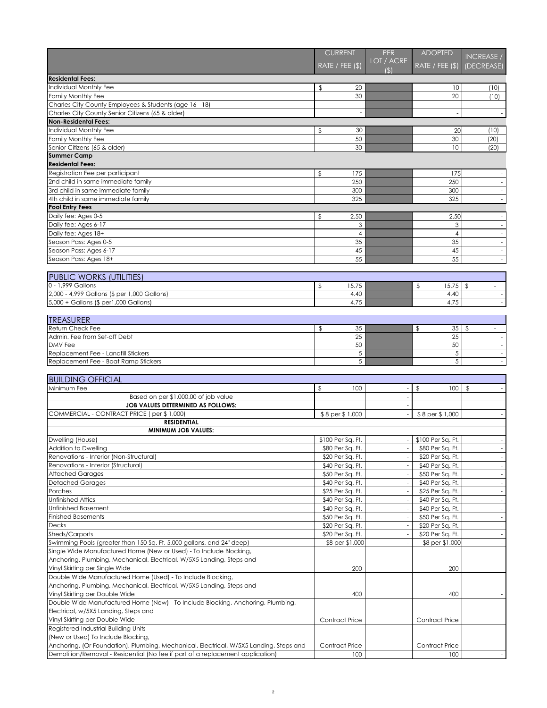|                                                        |                         | <b>CURRENT</b>    | <b>PER</b>         | <b>ADOPTED</b>         | INCREASE /               |
|--------------------------------------------------------|-------------------------|-------------------|--------------------|------------------------|--------------------------|
|                                                        |                         | RATE / FEE $(\$)$ | LOT / ACRE<br>(\$) | RATE / FEE $(\$)$      | (DECREASE)               |
| <b>Residental Fees:</b>                                |                         |                   |                    |                        |                          |
| Individual Monthly Fee                                 | \$                      | 20                |                    | 10                     | (10)                     |
| Family Monthly Fee                                     |                         | 30                |                    | 20                     | (10)                     |
| Charles City County Employees & Students (age 16 - 18) |                         |                   |                    |                        | $\sim$                   |
| Charles City County Senior Citizens (65 & older)       |                         |                   |                    |                        |                          |
| <b>Non-Residental Fees:</b>                            |                         |                   |                    |                        |                          |
| Individual Monthly Fee                                 | \$                      | 30                |                    | 20                     | (10)                     |
| <b>Family Monthly Fee</b>                              |                         | 50                |                    | 30                     | (20)                     |
| Senior Citizens (65 & older)                           |                         | 30                |                    | 10                     | (20)                     |
| <b>Summer Camp</b>                                     |                         |                   |                    |                        |                          |
| <b>Residental Fees:</b>                                |                         |                   |                    |                        |                          |
| Registration Fee per participant                       | $\frac{1}{2}$           | 175               |                    | 175                    |                          |
| 2nd child in same immediate family                     |                         | 250               |                    | 250                    |                          |
| 3rd child in same immediate family                     |                         | 300               |                    | 300                    |                          |
| 4th child in same immediate family                     |                         | 325               |                    | 325                    |                          |
| <b>Pool Entry Fees</b>                                 |                         |                   |                    |                        |                          |
| Daily fee: Ages 0-5                                    | $\sqrt[6]{\frac{1}{2}}$ | 2.50              |                    | 2.50                   | $\sim$                   |
| Daily fee: Ages 6-17                                   |                         | 3                 |                    | 3                      | $-$                      |
| Daily fee: Ages 18+                                    |                         | 4                 |                    |                        | $\overline{\phantom{a}}$ |
| Season Pass: Ages 0-5                                  |                         | 35                |                    | 35                     |                          |
| Season Pass: Ages 6-17                                 |                         | 45                |                    | 45                     |                          |
| Season Pass: Ages 18+                                  |                         | 55                |                    | 55                     |                          |
| <b>PUBLIC WORKS (UTILITIES)</b>                        |                         |                   |                    |                        |                          |
| 0 - 1,999 Gallons                                      | \$                      | 15.75             |                    | 15.75<br>$\frac{1}{2}$ | $\sqrt{2}$<br>$ \,$      |
| 2,000 - 4,999 Gallons (\$ per 1,000 Gallons)           |                         | 4.40              |                    | 4.40                   | $\sim$                   |
| $5,000 +$ Gallons (\$ per1,000 Gallons)                |                         | 4.75              |                    | 4.75                   |                          |
| <b>TREASURER</b>                                       |                         |                   |                    |                        |                          |
| <b>Return Check Fee</b>                                | $\frac{1}{2}$           | 35                |                    | 35<br>$\frac{1}{2}$    | $\mathfrak{P}$           |
| Admin. Fee from Set-off Debt                           |                         | 25                |                    | 25                     |                          |
| <b>DMV</b> Fee                                         |                         | 50                |                    | 50                     | $\sim$                   |
| Replacement Fee - Landfill Stickers                    |                         | $\overline{5}$    |                    | 5                      | $\sim$                   |
| Replacement Fee - Boat Ramp Stickers                   |                         | 5                 |                    | 5                      |                          |
| <b>BUILDING OFFICIAL</b>                               |                         |                   |                    |                        |                          |
| Minimum Fee                                            | $\sqrt[6]{\frac{1}{2}}$ | 100               |                    | $\frac{1}{2}$<br>100   | $\mathfrak{L}$           |
| Based on per \$1,000.00 of job value                   |                         |                   |                    |                        |                          |
| <b>JOB VALUES DETERMINED AS FOLLOWS:</b>               |                         |                   |                    |                        |                          |
| COMMERCIAL - CONTRACT PRICE (per \$1,000)              | \$8 per \$1,000         |                   | \$8 per \$1,000    |                        |                          |
| <b>RESIDENTIAL</b>                                     |                         |                   |                    |                        |                          |
| <b>MINIMUM JOB VALUES:</b>                             |                         |                   |                    |                        |                          |
| Dwelling (House)                                       |                         | \$100 Per Sq. Ft. |                    | \$100 Per Sq. Ft.      |                          |
| Addition to Dwelling                                   |                         | \$80 Per Sa. Ft.  |                    | \$80 Per Sa. Ft.       |                          |

| Addition to Dwelling                                                                   | \$80 Per Sq. Ft.      | \$80 Per Sq. Ft.      |  |
|----------------------------------------------------------------------------------------|-----------------------|-----------------------|--|
| Renovations - Interior (Non-Structural)                                                | \$20 Per Sq. Ft.      | \$20 Per Sq. Ft.      |  |
| Renovations - Interior (Structural)                                                    | \$40 Per Sq. Ft.      | \$40 Per Sq. Ft.      |  |
| <b>Attached Garages</b>                                                                | \$50 Per Sq. Ft.      | \$50 Per Sq. Ft.      |  |
| <b>Detached Garages</b>                                                                | \$40 Per Sq. Ft.      | \$40 Per Sq. Ft.      |  |
| Porches                                                                                | \$25 Per Sq. Ft.      | \$25 Per Sq. Ft.      |  |
| <b>Unfinished Attics</b>                                                               | \$40 Per Sq. Ft.      | \$40 Per Sq. Ft.      |  |
| <b>Unfinished Basement</b>                                                             | \$40 Per Sq. Ft.      | \$40 Per Sq. Ft.      |  |
| <b>Finished Basements</b>                                                              | \$50 Per Sq. Ft.      | \$50 Per Sq. Ft.      |  |
| <b>Decks</b>                                                                           | \$20 Per Sq. Ft.      | \$20 Per Sq. Ft.      |  |
| Sheds/Carports                                                                         | \$20 Per Sq. Ft.      | \$20 Per Sq. Ft.      |  |
| Swimming Pools (greater than 150 Sq. Ft, 5,000 gallons, and 24" deep)                  | \$8 per \$1,000       | \$8 per \$1,000       |  |
| Single Wide Manufactured Home (New or Used) - To Include Blocking,                     |                       |                       |  |
| Anchoring, Plumbing, Mechanical, Electrical, W/5X5 Landing, Steps and                  |                       |                       |  |
| Vinyl Skirting per Single Wide                                                         | 200                   | 200                   |  |
| Double Wide Manufactured Home (Used) - To Include Blocking,                            |                       |                       |  |
| Anchoring, Plumbing, Mechanical, Electrical, W/5X5 Landing, Steps and                  |                       |                       |  |
| Vinyl Skirting per Double Wide                                                         | 400                   | 400                   |  |
| Double Wide Manufactured Home (New) - To Include Blocking, Anchoring, Plumbing,        |                       |                       |  |
| Electrical, w/5X5 Landing, Steps and                                                   |                       |                       |  |
| Vinyl Skirting per Double Wide                                                         | <b>Contract Price</b> | <b>Contract Price</b> |  |
| Registered Industrial Building Units                                                   |                       |                       |  |
| (New or Used) To Include Blocking,                                                     |                       |                       |  |
| Anchoring, (Or Foundation), Plumbing, Mechanical, Electrical, W/5X5 Landing, Steps and | <b>Contract Price</b> | <b>Contract Price</b> |  |
| Demolition/Removal - Residential (No fee if part of a replacement application)         | 100                   | 100                   |  |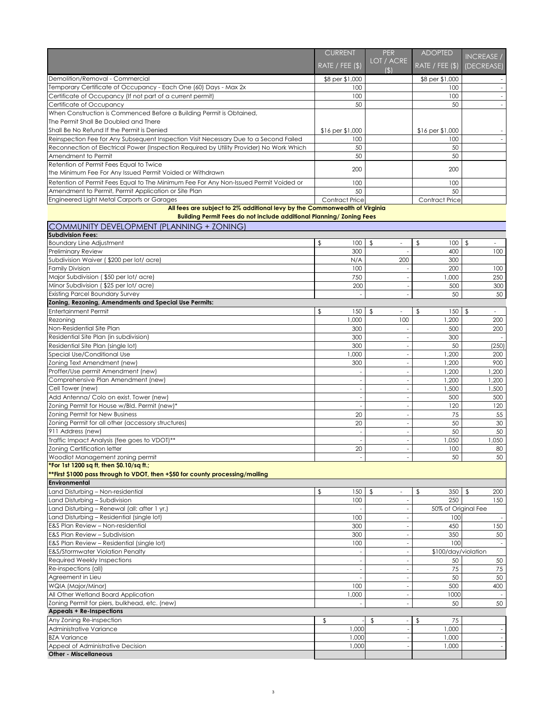|                                                                                          | CURRENT               | <b>PER</b><br>LOT / ACRE | <b>ADOPTED</b>        | <b>INCREASE /</b>       |  |
|------------------------------------------------------------------------------------------|-----------------------|--------------------------|-----------------------|-------------------------|--|
|                                                                                          | RATE / FEE (\$)       | $\mathfrak{B}$           | RATE / FEE $(\$)$     | (DECREASE)              |  |
| Demolition/Removal - Commercial                                                          | \$8 per \$1,000       |                          | \$8 per \$1,000       |                         |  |
| Temporary Certificate of Occupancy - Each One (60) Days - Max 2x                         | 100                   |                          | 100                   |                         |  |
| Certificate of Occupancy (If not part of a current permit)                               | 100                   |                          | 100                   |                         |  |
| Certificate of Occupancy                                                                 | 50                    |                          | 50                    |                         |  |
| When Construction is Commenced Before a Building Permit is Obtained,                     |                       |                          |                       |                         |  |
| The Permit Shall Be Doubled and There                                                    |                       |                          |                       |                         |  |
| Shall Be No Refund If the Permit is Denied                                               | $$16$ per $$1,000$    |                          | \$16 per \$1,000      |                         |  |
| Reinspection Fee for Any Subsequent Inspection Visit Necessary Due to a Second Failed    | 100                   |                          | 100                   |                         |  |
| Reconnection of Electrical Power (Inspection Required by Utility Provider) No Work Which | 50                    |                          | 50                    |                         |  |
| Amendment to Permit                                                                      | 50                    |                          | 50                    |                         |  |
| Retention of Permit Fees Equal to Twice                                                  | 200                   |                          | 200                   |                         |  |
| the Minimum Fee For Any Issued Permit Voided or Withdrawn                                |                       |                          |                       |                         |  |
| Retention of Permit Fees Equal to The Minimum Fee For Any Non-Issued Permit Voided or    | 100                   |                          | 100                   |                         |  |
| Amendment to Permit, Permit Application or Site Plan                                     | 50                    |                          | 50                    |                         |  |
| Engineered Light Metal Carports or Garages                                               | <b>Contract Price</b> |                          | <b>Contract Price</b> |                         |  |
| All fees are subject to 2% additional levy by the Commonwealth of Virginia               |                       |                          |                       |                         |  |
| <b>Building Permit Fees do not include additional Planning/ Zoning Fees</b>              |                       |                          |                       |                         |  |
| <b>COMMUNITY DEVELOPMENT (PLANNING + ZONING)</b>                                         |                       |                          |                       |                         |  |
| <b>Subdivision Fees:</b>                                                                 |                       |                          |                       |                         |  |
| <b>Boundary Line Adjustment</b>                                                          | 100<br>\$             | $\mathfrak{L}$           | \$<br>100             | $\sqrt[6]{\frac{1}{2}}$ |  |

| <b>Boundary Line Adjustment</b>                                               | $\mathfrak{L}$<br>100 | $\frac{1}{2}$                                       | $\frac{1}{2}$<br>100           | $\sqrt[6]{\frac{1}{2}}$                   |
|-------------------------------------------------------------------------------|-----------------------|-----------------------------------------------------|--------------------------------|-------------------------------------------|
| <b>Preliminary Review</b>                                                     | 300                   |                                                     | 400                            | 100                                       |
| Subdivision Waiver (\$200 per lot/ acre)                                      | N/A                   | 200                                                 | 300                            |                                           |
| <b>Family Division</b>                                                        | 100                   |                                                     | 200                            | 100                                       |
| Major Subdivision (\$50 per lot/ acre)                                        | 750                   |                                                     | 1,000                          | 250                                       |
| Minor Subdivision (\$25 per lot/ acre)                                        | 200                   |                                                     | 500                            | 300                                       |
| <b>Existing Parcel Boundary Survey</b>                                        | ٠                     |                                                     | 50                             | 50                                        |
| Zoning, Rezoning, Amendments and Special Use Permits:                         |                       |                                                     |                                |                                           |
| <b>Entertainment Permit</b>                                                   | \$<br>150             | $\mathfrak{L}$                                      | $\sqrt[6]{\frac{1}{2}}$<br>150 | $\sqrt[6]{2}$<br>$\overline{\phantom{a}}$ |
| Rezoning                                                                      | ,000                  | 100                                                 | ,200                           | 200                                       |
| Non-Residential Site Plan                                                     | 300                   |                                                     | 500                            | 200                                       |
| Residential Site Plan (in subdivision)                                        | 300                   |                                                     | 300                            |                                           |
| Residential Site Plan (single lot)                                            | 300                   |                                                     | 50                             | (250)                                     |
| Special Use/Conditional Use                                                   | ,000                  |                                                     | ,200                           | 200                                       |
| Zoning Text Amendment (new)                                                   | 300                   |                                                     | 1,200                          | 900                                       |
| Proffer/Use permit Amendment (new)                                            |                       |                                                     | ,200                           | ,200                                      |
| Comprehensive Plan Amendment (new)                                            |                       |                                                     | 1,200                          | ,200                                      |
| Cell Tower (new)                                                              |                       |                                                     | 1,500                          | ,500                                      |
| Add Antenna/ Colo on exist. Tower (new)                                       |                       |                                                     | 500                            | 500                                       |
| Zoning Permit for House w/Bld. Permit (new)*                                  |                       |                                                     | 120                            | 120                                       |
| Zoning Permit for New Business                                                | 20                    |                                                     | 75                             | 55                                        |
| Zoning Permit for all other (accessory structures)                            | 20                    |                                                     | 50                             | 30                                        |
| 911 Address (new)                                                             |                       |                                                     | 50                             | 50                                        |
| Traffic Impact Analysis (fee goes to VDOT)**                                  |                       |                                                     | 1,050                          | 0.050                                     |
| <b>Zoning Certification letter</b>                                            | 20                    |                                                     | 100                            | 80                                        |
| Woodlot Management zoning permit                                              |                       |                                                     | 50                             | 50                                        |
| *For 1st 1200 sq ft, then \$0.10/sq ft.;                                      |                       |                                                     |                                |                                           |
| **First \$1000 pass through to VDOT, then +\$50 for county processing/mailing |                       |                                                     |                                |                                           |
| Environmental                                                                 |                       |                                                     |                                |                                           |
| Land Disturbing - Non-residential                                             | \$<br>150             | $\frac{1}{2}$                                       | $\frac{1}{2}$<br>350           | $\sqrt[6]{2}$<br>200                      |
| Land Disturbing – Subdivision                                                 | 100                   |                                                     | 250                            | 150                                       |
| Land Disturbing - Renewal (all: after 1 yr.)                                  |                       |                                                     | 50% of Original Fee            |                                           |
| Land Disturbing - Residential (single lot)                                    | 100                   |                                                     | 100                            | $\overline{\phantom{a}}$                  |
| E&S Plan Review - Non-residential                                             | 300                   |                                                     | 450                            | 150                                       |
| <b>E&amp;S Plan Review - Subdivision</b>                                      | 300                   |                                                     | 350                            | 50                                        |
| E&S Plan Review - Residential (single lot)                                    | 100                   |                                                     | 100                            |                                           |
| <b>E&amp;S/Stormwater Violation Penalty</b>                                   |                       |                                                     | \$100/day/violation            |                                           |
| <b>Required Weekly Inspections</b>                                            |                       |                                                     | 50                             | 50                                        |
| Re-inspections (all)                                                          |                       |                                                     | 75                             | 75                                        |
| Agreement in Lieu                                                             |                       |                                                     | 50                             | 50                                        |
| WQIA (Major/Minor)                                                            | 100                   |                                                     | 500                            | 400                                       |
| All Other Wetland Board Application                                           | 1,000                 |                                                     | 1000                           |                                           |
| Zoning Permit for piers, bulkhead, etc. (new)                                 |                       |                                                     | 50                             | 50                                        |
| <b>Appeals + Re-Inspections</b>                                               |                       |                                                     |                                |                                           |
| Any Zoning Re-inspection                                                      | \$                    | $\sqrt[6]{\frac{1}{2}}$<br>$\overline{\phantom{a}}$ | 75<br>$\frac{1}{2}$            |                                           |
| Administrative Variance                                                       | 1,000                 |                                                     | 1,000                          | $\overline{\phantom{a}}$                  |
| <b>BZA Variance</b>                                                           | 1,000                 |                                                     | 1,000                          | $-$                                       |
| Appeal of Administrative Decision                                             | 1,000                 |                                                     | 1,000                          |                                           |
| <b>Other - Miscellaneous</b>                                                  |                       |                                                     |                                |                                           |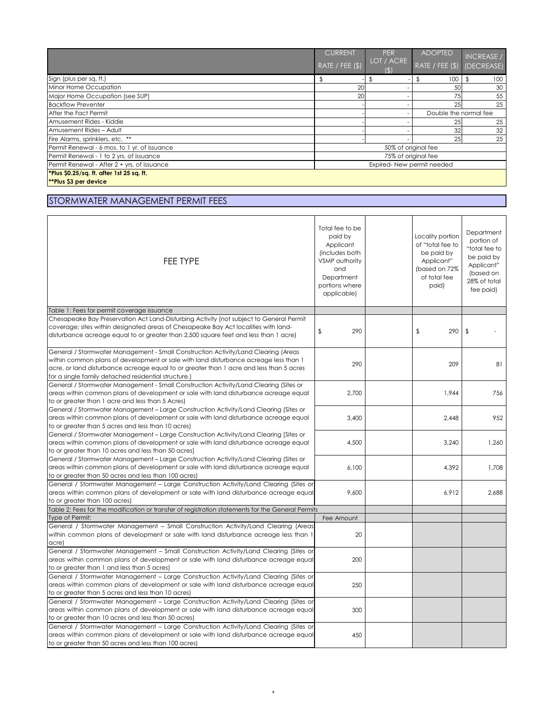## STORMWATER MANAGEMENT PERMIT FEES

|                                                 | <b>CURRENT</b>                                           |                            | <b>PER</b><br>LOT / ACRE | <b>ADOPTED</b>             | <b>INCREASE /</b> |
|-------------------------------------------------|----------------------------------------------------------|----------------------------|--------------------------|----------------------------|-------------------|
|                                                 | $\overline{\mathsf{RATE}/\mathsf{FEE}(\$)}^{\mathsf{I}}$ |                            | (5)                      | RATE / FEE (\$) (DECREASE) |                   |
| Sign (plus per sq. ft.)                         |                                                          |                            |                          | 100                        | 100               |
| Minor Home Occupation                           |                                                          | 20                         |                          | 50                         | 30                |
| Major Home Occupation (see SUP)                 |                                                          | 20                         |                          | 75                         | 55                |
| <b>Backflow Preventer</b>                       |                                                          |                            |                          | 25                         | 25                |
| After the Fact Permit                           |                                                          |                            |                          | Double the normal fee      |                   |
| Amusement Rides - Kiddie                        |                                                          |                            |                          | 25                         | 25                |
| Amusement Rides - Adult                         |                                                          |                            |                          | 32                         | 32                |
| Fire Alarms, sprinklers, etc. **                |                                                          |                            |                          | 25                         | 25                |
| Permit Renewal - 6 mos. to 1 yr. of issuance    |                                                          | 50% of original fee        |                          |                            |                   |
| Permit Renewal - 1 to 2 yrs. of issuance        |                                                          | 75% of original fee        |                          |                            |                   |
| Permit Renewal - After 2 + yrs. of issuance     |                                                          | Expired- New permit needed |                          |                            |                   |
| <b>Plus \$0.25/sq. ft. after 1st 25 sq. ft.</b> |                                                          |                            |                          |                            |                   |
| <b>**Plus \$3 per device</b>                    |                                                          |                            |                          |                            |                   |

| FEE TYPE                                                                                                                                                                                                                                                                                                                      | Total fee to be<br>paid by<br>Applicant<br>(includes both<br>VSMP authority<br>and<br>Department<br>portions where<br>applicable) | Locality portion<br>of "total fee to<br>be paid by<br>Applicant"<br>(based on 72%<br>of total fee<br>paid) | Department<br>portion of<br>"total fee to<br>be paid by<br>Applicant"<br>(based on<br>28% of total<br>fee paid) |
|-------------------------------------------------------------------------------------------------------------------------------------------------------------------------------------------------------------------------------------------------------------------------------------------------------------------------------|-----------------------------------------------------------------------------------------------------------------------------------|------------------------------------------------------------------------------------------------------------|-----------------------------------------------------------------------------------------------------------------|
| Table 1: Fees for permit coverage issuance                                                                                                                                                                                                                                                                                    |                                                                                                                                   |                                                                                                            |                                                                                                                 |
| Chesapeake Bay Preservation Act Land-Disturbing Activity (not subject to General Permit                                                                                                                                                                                                                                       |                                                                                                                                   |                                                                                                            |                                                                                                                 |
| coverage; sites within designated areas of Chesapeake Bay Act localities with land-<br>disturbance acreage equal to or greater than 2,500 square feet and less than 1 acre)                                                                                                                                                   | 290<br>$\frac{1}{2}$                                                                                                              | $\frac{1}{2}$<br>290                                                                                       | $\sqrt[6]{\frac{1}{2}}$                                                                                         |
| General / Stormwater Management - Small Construction Activity/Land Clearing (Areas<br>within common plans of development or sale with land disturbance acreage less than 1<br>acre, or land disturbance acreage equal to or greater than 1 acre and less than 5 acres<br>for a single family detached residential structure.) | 290                                                                                                                               | 209                                                                                                        | 81                                                                                                              |
| General / Stormwater Management - Small Construction Activity/Land Clearing (Sites or<br>areas within common plans of development or sale with land disturbance acreage equal<br>to or greater than 1 acre and less than 5 Acres)                                                                                             | 2,700                                                                                                                             | 1,944                                                                                                      | 756                                                                                                             |
| General / Stormwater Management - Large Construction Activity/Land Clearing (Sites or<br>areas within common plans of development or sale with land disturbance acreage equal<br>to or greater than 5 acres and less than 10 acres)                                                                                           | 3,400                                                                                                                             | 2,448                                                                                                      | 952                                                                                                             |
| General / Stormwater Management - Large Construction Activity/Land Clearing [Sites or<br>areas within common plans of development or sale with land disturbance acreage equal<br>to or greater than 10 acres and less than 50 acres]                                                                                          | 4,500                                                                                                                             | 3,240                                                                                                      | 1,260                                                                                                           |
| General / Stormwater Management – Large Construction Activity/Land Clearing (Sites or<br>areas within common plans of development or sale with land disturbance acreage equal<br>to or greater than 50 acres and less than 100 acres)                                                                                         | 6,100                                                                                                                             | 4,392                                                                                                      | 1,708                                                                                                           |
| General / Stormwater Management - Large Construction Activity/Land Clearing (Sites or<br>areas within common plans of development or sale with land disturbance acreage equal<br>to or greater than 100 acres)                                                                                                                | 9,600                                                                                                                             | 6,912                                                                                                      | 2,688                                                                                                           |
| Table 2: Fees for the modification or transfer of registration statements for the General Permits                                                                                                                                                                                                                             |                                                                                                                                   |                                                                                                            |                                                                                                                 |
| Type of Permit:                                                                                                                                                                                                                                                                                                               | Fee Amount                                                                                                                        |                                                                                                            |                                                                                                                 |
| General / Stormwater Management - Small Construction Activity/Land Clearing (Areas<br>within common plans of development or sale with land disturbance acreage less than 1<br>acre)                                                                                                                                           | 20                                                                                                                                |                                                                                                            |                                                                                                                 |
| General / Stormwater Management - Small Construction Activity/Land Clearing (Sites or<br>areas within common plans of development or sale with land disturbance acreage equal<br>to or greater than 1 and less than 5 acres)                                                                                                  | 200                                                                                                                               |                                                                                                            |                                                                                                                 |
| General / Stormwater Management - Large Construction Activity/Land Clearing (Sites or<br>areas within common plans of development or sale with land disturbance acreage equal<br>to or greater than 5 acres and less than 10 acres)                                                                                           | 250                                                                                                                               |                                                                                                            |                                                                                                                 |
| General / Stormwater Management - Large Construction Activity/Land Clearing (Sites or<br>areas within common plans of development or sale with land disturbance acreage equal<br>to or greater than 10 acres and less than 50 acres)                                                                                          | 300                                                                                                                               |                                                                                                            |                                                                                                                 |
| General / Stormwater Management - Large Construction Activity/Land Clearing (Sites or<br>areas within common plans of development or sale with land disturbance acreage equal<br>to or greater than 50 acres and less than 100 acres)                                                                                         | 450                                                                                                                               |                                                                                                            |                                                                                                                 |